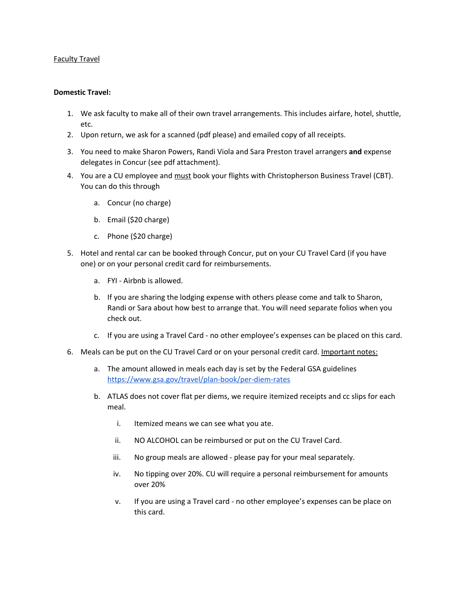## Faculty Travel

## **Domestic Travel:**

- 1. We ask faculty to make all of their own travel arrangements. This includes airfare, hotel, shuttle, etc.
- 2. Upon return, we ask for a scanned (pdf please) and emailed copy of all receipts.
- 3. You need to make Sharon Powers, Randi Viola and Sara Preston travel arrangers **and** expense delegates in Concur (see pdf attachment).
- 4. You are a CU employee and must book your flights with Christopherson Business Travel (CBT). You can do this through
	- a. Concur (no charge)
	- b. Email (\$20 charge)
	- c. Phone (\$20 charge)
- 5. Hotel and rental car can be booked through Concur, put on your CU Travel Card (if you have one) or on your personal credit card for reimbursements.
	- a. FYI Airbnb is allowed.
	- b. If you are sharing the lodging expense with others please come and talk to Sharon, Randi or Sara about how best to arrange that. You will need separate folios when you check out.
	- c. If you are using a Travel Card no other employee's expenses can be placed on this card.
- 6. Meals can be put on the CU Travel Card or on your personal credit card. Important notes:
	- a. The amount allowed in meals each day is set by the Federal GSA guidelines <https://www.gsa.gov/travel/plan-book/per-diem-rates>
	- b. ATLAS does not cover flat per diems, we require itemized receipts and cc slips for each meal.
		- i. Itemized means we can see what you ate.
		- ii. NO ALCOHOL can be reimbursed or put on the CU Travel Card.
		- iii. No group meals are allowed please pay for your meal separately.
		- iv. No tipping over 20%. CU will require a personal reimbursement for amounts over 20%
		- v. If you are using a Travel card no other employee's expenses can be place on this card.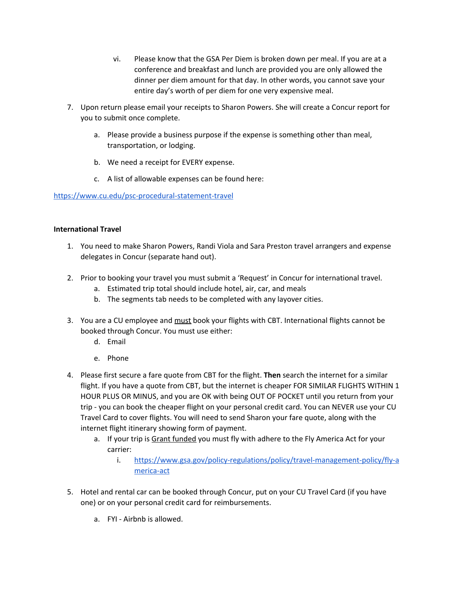- vi. Please know that the GSA Per Diem is broken down per meal. If you are at a conference and breakfast and lunch are provided you are only allowed the dinner per diem amount for that day. In other words, you cannot save your entire day's worth of per diem for one very expensive meal.
- 7. Upon return please email your receipts to Sharon Powers. She will create a Concur report for you to submit once complete.
	- a. Please provide a business purpose if the expense is something other than meal, transportation, or lodging.
	- b. We need a receipt for EVERY expense.
	- c. A list of allowable expenses can be found here:

## <https://www.cu.edu/psc-procedural-statement-travel>

## **International Travel**

- 1. You need to make Sharon Powers, Randi Viola and Sara Preston travel arrangers and expense delegates in Concur (separate hand out).
- 2. Prior to booking your travel you must submit a 'Request' in Concur for international travel.
	- a. Estimated trip total should include hotel, air, car, and meals
	- b. The segments tab needs to be completed with any layover cities.
- 3. You are a CU employee and must book your flights with CBT. International flights cannot be booked through Concur. You must use either:
	- d. Email
	- e. Phone
- 4. Please first secure a fare quote from CBT for the flight. **Then** search the internet for a similar flight. If you have a quote from CBT, but the internet is cheaper FOR SIMILAR FLIGHTS WITHIN 1 HOUR PLUS OR MINUS, and you are OK with being OUT OF POCKET until you return from your trip - you can book the cheaper flight on your personal credit card. You can NEVER use your CU Travel Card to cover flights. You will need to send Sharon your fare quote, along with the internet flight itinerary showing form of payment.
	- a. If your trip is Grant funded you must fly with adhere to the Fly America Act for your carrier:
		- i. [https://www.gsa.gov/policy-regulations/policy/travel-management-policy/fly-a](https://www.gsa.gov/policy-regulations/policy/travel-management-policy/fly-america-act) [merica-act](https://www.gsa.gov/policy-regulations/policy/travel-management-policy/fly-america-act)
- 5. Hotel and rental car can be booked through Concur, put on your CU Travel Card (if you have one) or on your personal credit card for reimbursements.
	- a. FYI Airbnb is allowed.